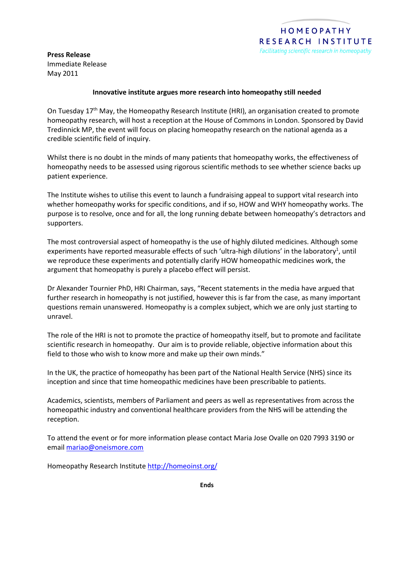**Press Release** Immediate Release May 2011

# **Innovative institute argues more research into homeopathy still needed**

On Tuesday  $17<sup>th</sup>$  May, the Homeopathy Research Institute (HRI), an organisation created to promote homeopathy research, will host a reception at the House of Commons in London. Sponsored by David Tredinnick MP, the event will focus on placing homeopathy research on the national agenda as a credible scientific field of inquiry.

Whilst there is no doubt in the minds of many patients that homeopathy works, the effectiveness of homeopathy needs to be assessed using rigorous scientific methods to see whether science backs up patient experience.

The Institute wishes to utilise this event to launch a fundraising appeal to support vital research into whether homeopathy works for specific conditions, and if so, HOW and WHY homeopathy works. The purpose is to resolve, once and for all, the long running debate between homeopathy's detractors and supporters.

The most controversial aspect of homeopathy is the use of highly diluted medicines. Although some experiments have reported measurable effects of such 'ultra-high dilutions' in the laboratory<sup>1</sup>, until we reproduce these experiments and potentially clarify HOW homeopathic medicines work, the argument that homeopathy is purely a placebo effect will persist.

Dr Alexander Tournier PhD, HRI Chairman, says, "Recent statements in the media have argued that further research in homeopathy is not justified, however this is far from the case, as many important questions remain unanswered. Homeopathy is a complex subject, which we are only just starting to unravel.

The role of the HRI is not to promote the practice of homeopathy itself, but to promote and facilitate scientific research in homeopathy. Our aim is to provide reliable, objective information about this field to those who wish to know more and make up their own minds."

In the UK, the practice of homeopathy has been part of the National Health Service (NHS) since its inception and since that time homeopathic medicines have been prescribable to patients.

Academics, scientists, members of Parliament and peers as well as representatives from across the homeopathic industry and conventional healthcare providers from the NHS will be attending the reception.

To attend the event or for more information please contact Maria Jose Ovalle on 020 7993 3190 or email [mariao@oneismore.com](mailto:mariao@oneismore.com)

Homeopathy Research Institute<http://homeoinst.org/>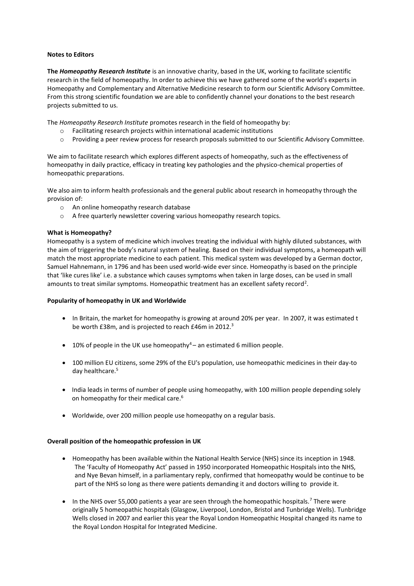# **Notes to Editors**

**The** *Homeopathy Research Institute* is an innovative charity, based in the UK, working to facilitate scientific research in the field of homeopathy. In order to achieve this we have gathered some of the world's experts in Homeopathy and Complementary and Alternative Medicine research to form our Scientific Advisory Committee. From this strong scientific foundation we are able to confidently channel your donations to the best research projects submitted to us.

The *Homeopathy Research Institute* promotes research in the field of homeopathy by:

- Facilitating research projects within international academic institutions
- o Providing a peer review process for research proposals submitted to our Scientific Advisory Committee.

We aim to facilitate research which explores different aspects of homeopathy, such as the effectiveness of homeopathy in daily practice, efficacy in treating key pathologies and the physico-chemical properties of homeopathic preparations.

We also aim to inform health professionals and the general public about research in homeopathy through the provision of:

- o An online homeopathy research database
- o A free quarterly newsletter covering various homeopathy research topics.

# **What is Homeopathy?**

Homeopathy is a system of medicine which involves treating the individual with highly diluted substances, with the aim of triggering the body's natural system of healing. Based on their individual symptoms, a homeopath will match the most appropriate medicine to each patient. This medical system was developed by a German doctor, Samuel Hahnemann, in 1796 and has been used world-wide ever since. Homeopathy is based on the principle that 'like cures like' i.e. a substance which causes symptoms when taken in large doses, can be used in small amounts to treat similar symptoms. Homeopathic treatment has an excellent safety record<sup>2</sup>.

## **Popularity of homeopathy in UK and Worldwide**

- In Britain, the market for homeopathy is growing at around 20% per year. In 2007, it was estimated t be worth £38m, and is projected to reach £46m in 2012.<sup>3</sup>
- $\bullet$  10% of people in the UK use homeopathy<sup>4</sup> an estimated 6 million people.
- 100 million EU citizens, some 29% of the EU's population, use homeopathic medicines in their day-to day healthcare. 5
- India leads in terms of number of people using homeopathy, with 100 million people depending solely on homeopathy for their medical care. 6
- Worldwide, over 200 million people use homeopathy on a regular basis.

### **Overall position of the homeopathic profession in UK**

- Homeopathy has been available within the National Health Service (NHS) since its inception in 1948. The 'Faculty of Homeopathy Act' passed in 1950 incorporated Homeopathic Hospitals into the NHS, and Nye Bevan himself, in a parliamentary reply, confirmed that homeopathy would be continue to be part of the NHS so long as there were patients demanding it and doctors willing to provide it.
- In the NHS over 55,000 patients a year are seen through the homeopathic hospitals.<sup>7</sup> There were originally 5 homeopathic hospitals (Glasgow, Liverpool, London, Bristol and Tunbridge Wells). Tunbridge Wells closed in 2007 and earlier this year the Royal London Homeopathic Hospital changed its name to the Royal London Hospital for Integrated Medicine.